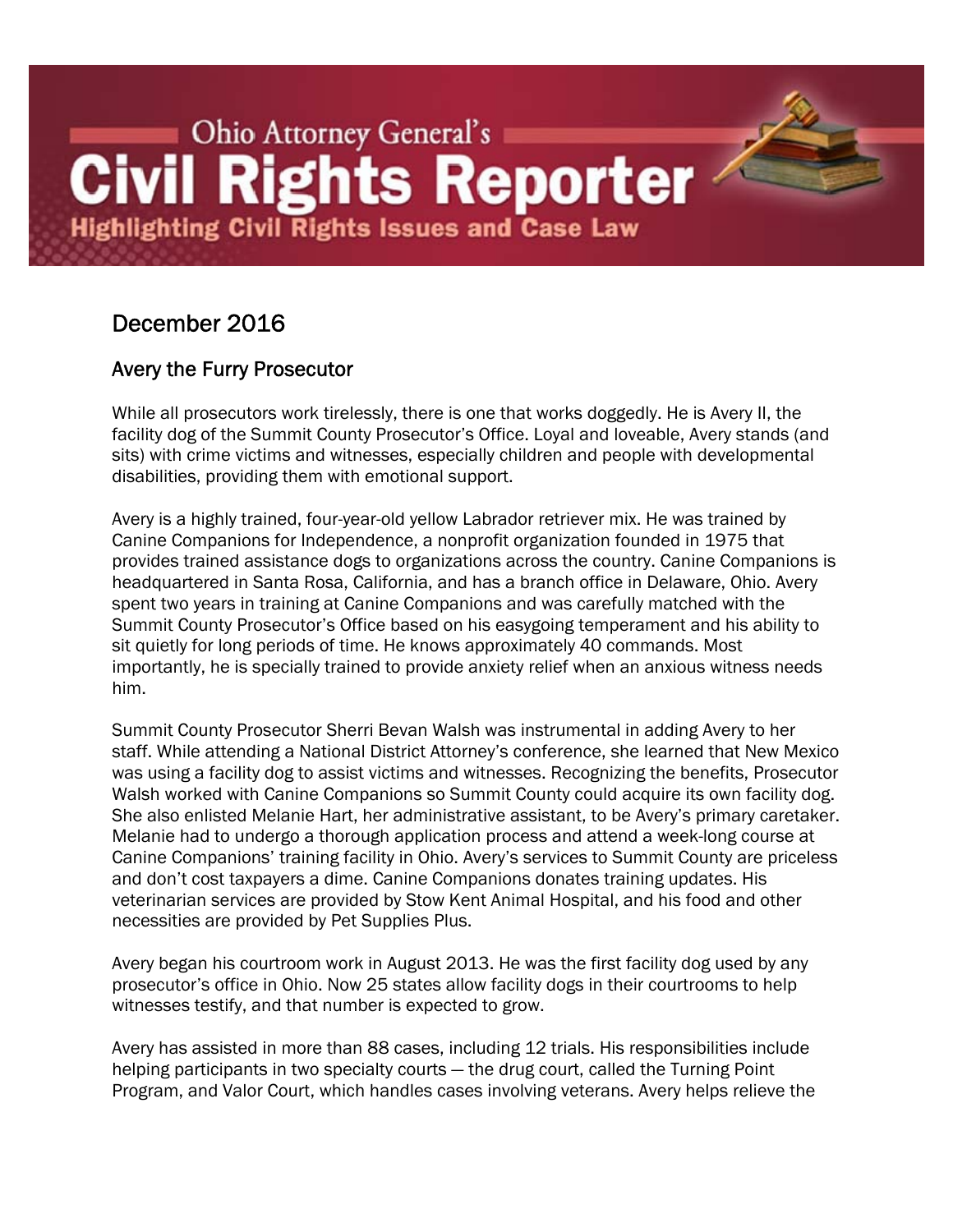# **Example 20 Ohio Attorney General's Civil Rights Reporter Highlighting Civil Rights Issues and Case Law**

# December 2016

# Avery the Furry Prosecutor

While all prosecutors work tirelessly, there is one that works doggedly. He is Avery II, the facility dog of the Summit County Prosecutor's Office. Loyal and loveable, Avery stands (and sits) with crime victims and witnesses, especially children and people with developmental disabilities, providing them with emotional support.

Avery is a highly trained, four-year-old yellow Labrador retriever mix. He was trained by Canine Companions for Independence, a nonprofit organization founded in 1975 that provides trained assistance dogs to organizations across the country. Canine Companions is headquartered in Santa Rosa, California, and has a branch office in Delaware, Ohio. Avery spent two years in training at Canine Companions and was carefully matched with the Summit County Prosecutor's Office based on his easygoing temperament and his ability to sit quietly for long periods of time. He knows approximately 40 commands. Most importantly, he is specially trained to provide anxiety relief when an anxious witness needs him.

Summit County Prosecutor Sherri Bevan Walsh was instrumental in adding Avery to her staff. While attending a National District Attorney's conference, she learned that New Mexico was using a facility dog to assist victims and witnesses. Recognizing the benefits, Prosecutor Walsh worked with Canine Companions so Summit County could acquire its own facility dog. She also enlisted Melanie Hart, her administrative assistant, to be Avery's primary caretaker. Melanie had to undergo a thorough application process and attend a week-long course at Canine Companions' training facility in Ohio. Avery's services to Summit County are priceless and don't cost taxpayers a dime. Canine Companions donates training updates. His veterinarian services are provided by Stow Kent Animal Hospital, and his food and other necessities are provided by Pet Supplies Plus.

Avery began his courtroom work in August 2013. He was the first facility dog used by any prosecutor's office in Ohio. Now 25 states allow facility dogs in their courtrooms to help witnesses testify, and that number is expected to grow.

Avery has assisted in more than 88 cases, including 12 trials. His responsibilities include helping participants in two specialty courts — the drug court, called the Turning Point Program, and Valor Court, which handles cases involving veterans. Avery helps relieve the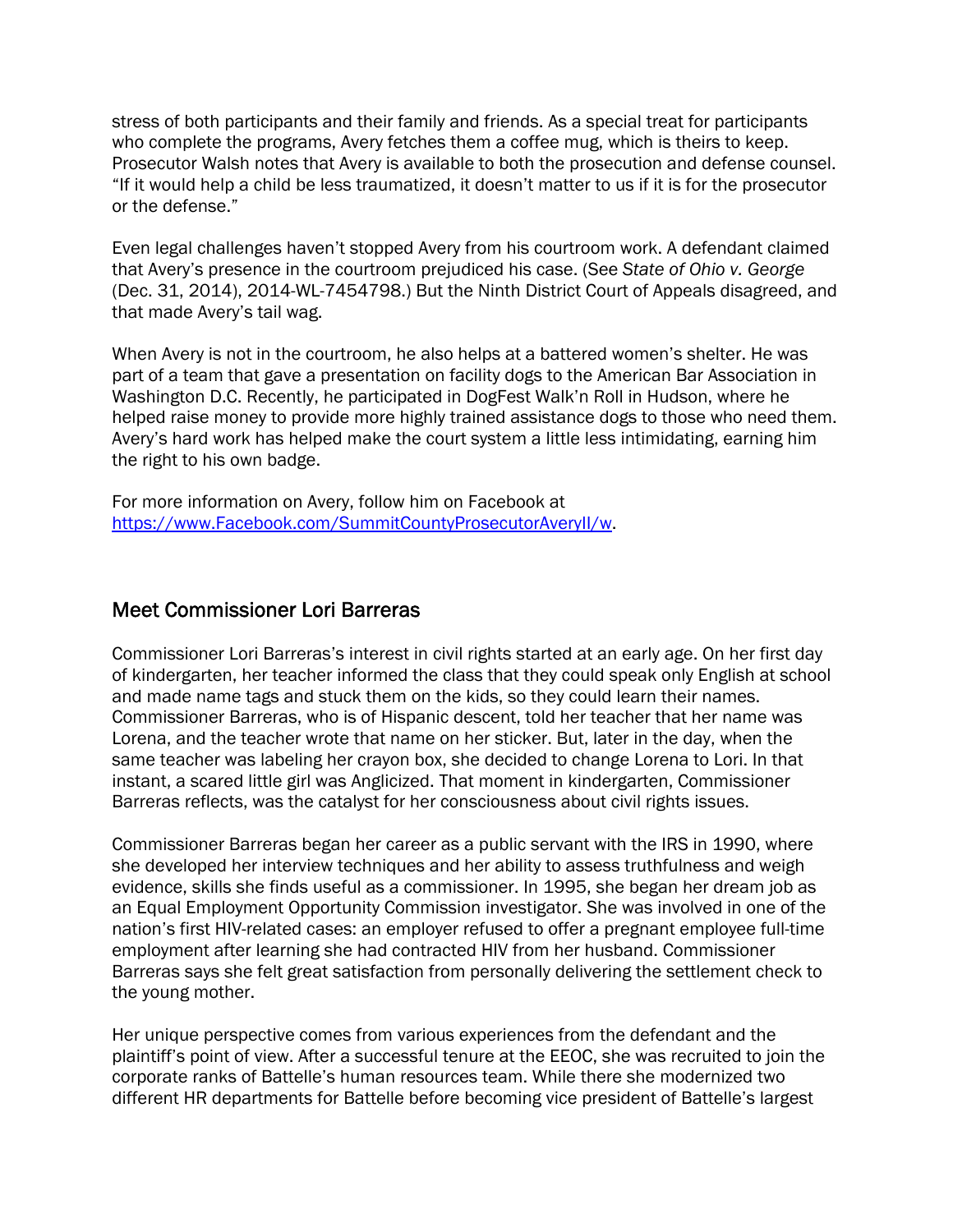stress of both participants and their family and friends. As a special treat for participants who complete the programs, Avery fetches them a coffee mug, which is theirs to keep. Prosecutor Walsh notes that Avery is available to both the prosecution and defense counsel. "If it would help a child be less traumatized, it doesn't matter to us if it is for the prosecutor or the defense."

Even legal challenges haven't stopped Avery from his courtroom work. A defendant claimed that Avery's presence in the courtroom prejudiced his case. (See *State of Ohio v. George*  (Dec. 31, 2014), 2014-WL-7454798.) But the Ninth District Court of Appeals disagreed, and that made Avery's tail wag.

When Avery is not in the courtroom, he also helps at a battered women's shelter. He was part of a team that gave a presentation on facility dogs to the American Bar Association in Washington D.C. Recently, he participated in DogFest Walk'n Roll in Hudson, where he helped raise money to provide more highly trained assistance dogs to those who need them. Avery's hard work has helped make the court system a little less intimidating, earning him the right to his own badge.

For more information on Avery, follow him on Facebook at https://www.Facebook.com/SummitCountyProsecutorAveryII/w.

### Meet Commissioner Lori Barreras

Commissioner Lori Barreras's interest in civil rights started at an early age. On her first day of kindergarten, her teacher informed the class that they could speak only English at school and made name tags and stuck them on the kids, so they could learn their names. Commissioner Barreras, who is of Hispanic descent, told her teacher that her name was Lorena, and the teacher wrote that name on her sticker. But, later in the day, when the same teacher was labeling her crayon box, she decided to change Lorena to Lori. In that instant, a scared little girl was Anglicized. That moment in kindergarten, Commissioner Barreras reflects, was the catalyst for her consciousness about civil rights issues.

Commissioner Barreras began her career as a public servant with the IRS in 1990, where she developed her interview techniques and her ability to assess truthfulness and weigh evidence, skills she finds useful as a commissioner. In 1995, she began her dream job as an Equal Employment Opportunity Commission investigator. She was involved in one of the nation's first HIV-related cases: an employer refused to offer a pregnant employee full-time employment after learning she had contracted HIV from her husband. Commissioner Barreras says she felt great satisfaction from personally delivering the settlement check to the young mother.

Her unique perspective comes from various experiences from the defendant and the plaintiff's point of view. After a successful tenure at the EEOC, she was recruited to join the corporate ranks of Battelle's human resources team. While there she modernized two different HR departments for Battelle before becoming vice president of Battelle's largest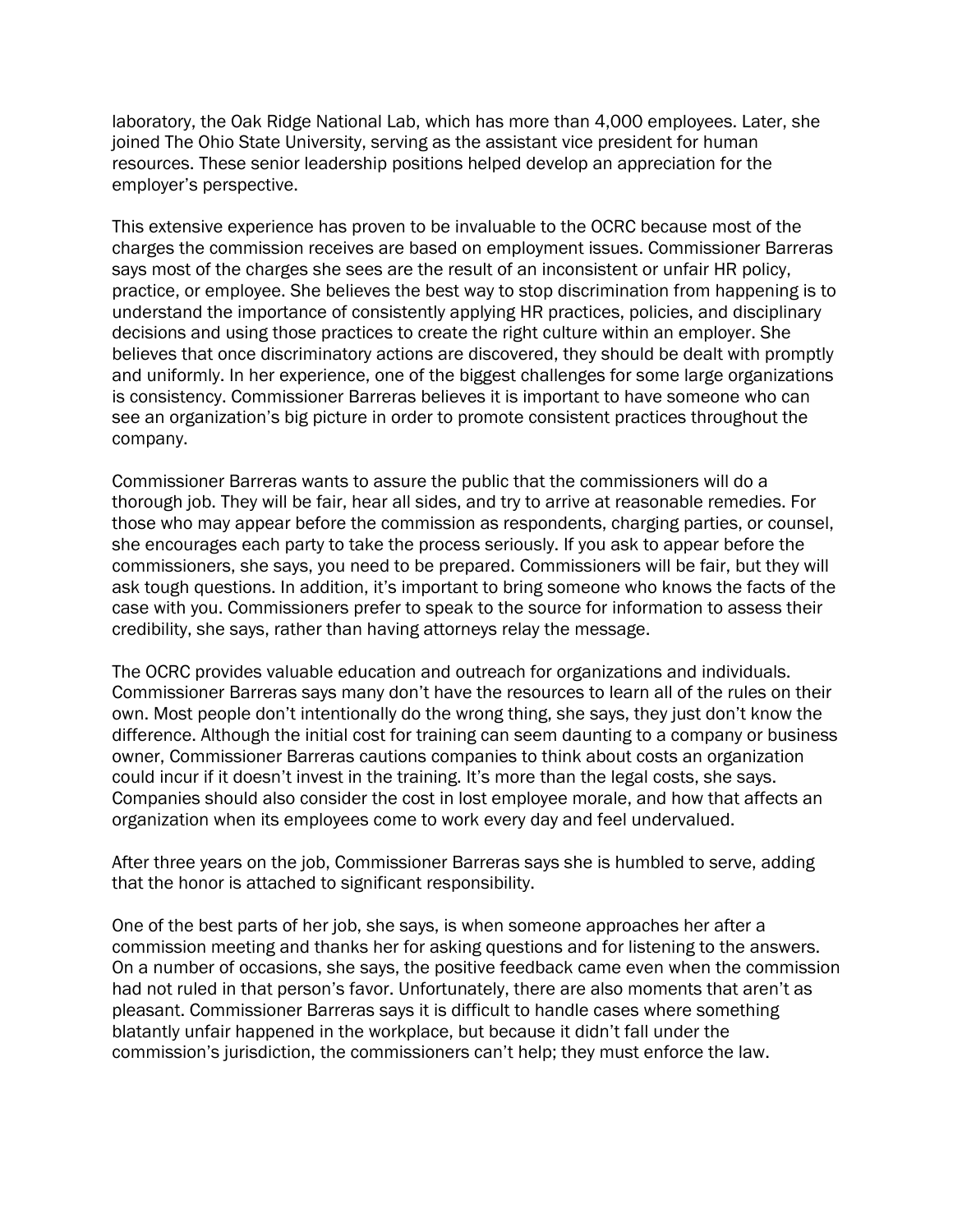laboratory, the Oak Ridge National Lab, which has more than 4,000 employees. Later, she joined The Ohio State University, serving as the assistant vice president for human resources. These senior leadership positions helped develop an appreciation for the employer's perspective.

This extensive experience has proven to be invaluable to the OCRC because most of the charges the commission receives are based on employment issues. Commissioner Barreras says most of the charges she sees are the result of an inconsistent or unfair HR policy, practice, or employee. She believes the best way to stop discrimination from happening is to understand the importance of consistently applying HR practices, policies, and disciplinary decisions and using those practices to create the right culture within an employer. She believes that once discriminatory actions are discovered, they should be dealt with promptly and uniformly. In her experience, one of the biggest challenges for some large organizations is consistency. Commissioner Barreras believes it is important to have someone who can see an organization's big picture in order to promote consistent practices throughout the company.

Commissioner Barreras wants to assure the public that the commissioners will do a thorough job. They will be fair, hear all sides, and try to arrive at reasonable remedies. For those who may appear before the commission as respondents, charging parties, or counsel, she encourages each party to take the process seriously. If you ask to appear before the commissioners, she says, you need to be prepared. Commissioners will be fair, but they will ask tough questions. In addition, it's important to bring someone who knows the facts of the case with you. Commissioners prefer to speak to the source for information to assess their credibility, she says, rather than having attorneys relay the message.

The OCRC provides valuable education and outreach for organizations and individuals. Commissioner Barreras says many don't have the resources to learn all of the rules on their own. Most people don't intentionally do the wrong thing, she says, they just don't know the difference. Although the initial cost for training can seem daunting to a company or business owner, Commissioner Barreras cautions companies to think about costs an organization could incur if it doesn't invest in the training. It's more than the legal costs, she says. Companies should also consider the cost in lost employee morale, and how that affects an organization when its employees come to work every day and feel undervalued.

After three years on the job, Commissioner Barreras says she is humbled to serve, adding that the honor is attached to significant responsibility.

One of the best parts of her job, she says, is when someone approaches her after a commission meeting and thanks her for asking questions and for listening to the answers. On a number of occasions, she says, the positive feedback came even when the commission had not ruled in that person's favor. Unfortunately, there are also moments that aren't as pleasant. Commissioner Barreras says it is difficult to handle cases where something blatantly unfair happened in the workplace, but because it didn't fall under the commission's jurisdiction, the commissioners can't help; they must enforce the law.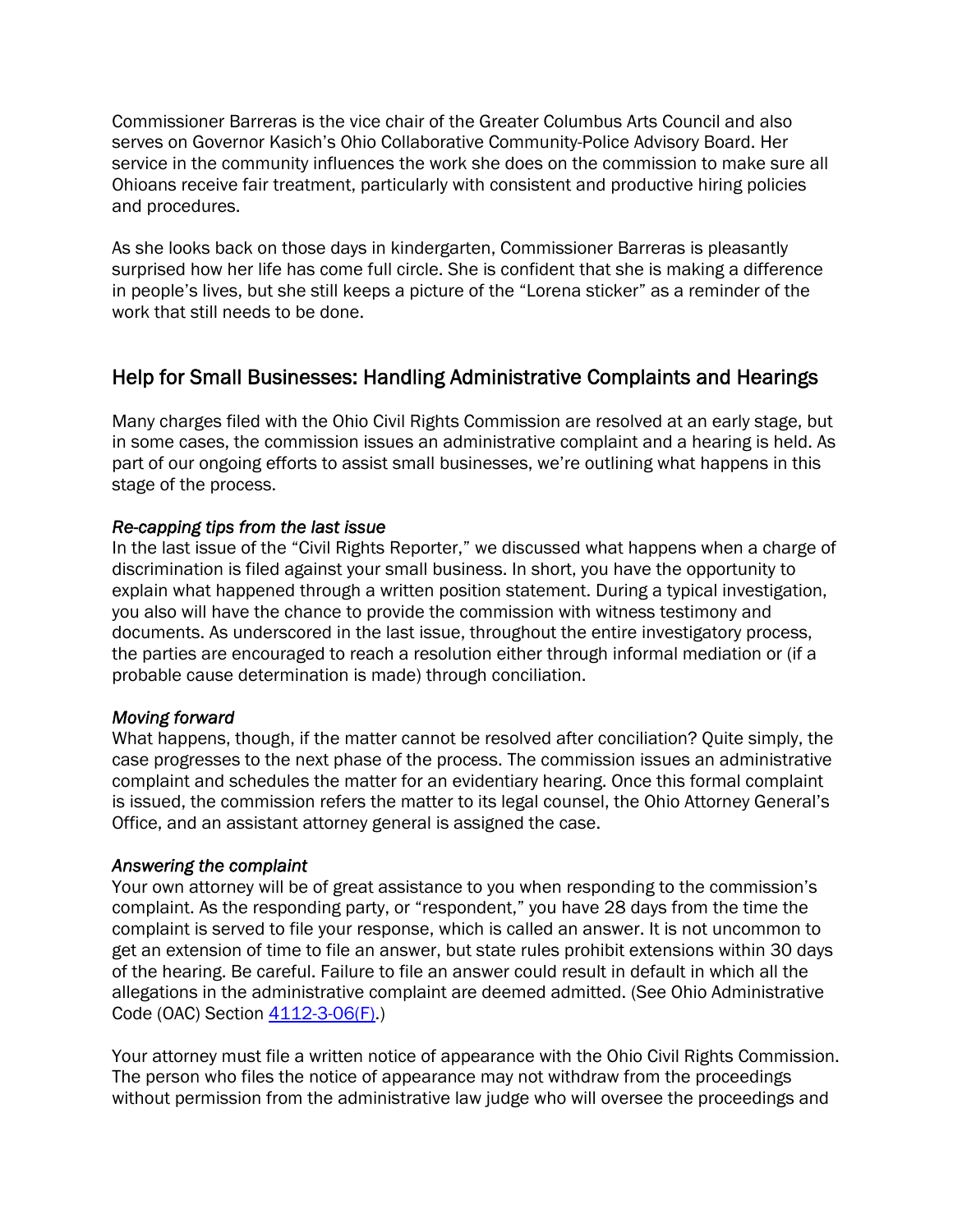Commissioner Barreras is the vice chair of the Greater Columbus Arts Council and also serves on Governor Kasich's Ohio Collaborative Community-Police Advisory Board. Her service in the community influences the work she does on the commission to make sure all Ohioans receive fair treatment, particularly with consistent and productive hiring policies and procedures.

As she looks back on those days in kindergarten, Commissioner Barreras is pleasantly surprised how her life has come full circle. She is confident that she is making a difference in people's lives, but she still keeps a picture of the "Lorena sticker" as a reminder of the work that still needs to be done.

# Help for Small Businesses: Handling Administrative Complaints and Hearings

Many charges filed with the Ohio Civil Rights Commission are resolved at an early stage, but in some cases, the commission issues an administrative complaint and a hearing is held. As part of our ongoing efforts to assist small businesses, we're outlining what happens in this stage of the process.

#### *Re-capping tips from the last issue*

In the last issue of the "Civil Rights Reporter," we discussed what happens when a charge of discrimination is filed against your small business. In short, you have the opportunity to explain what happened through a written position statement. During a typical investigation, you also will have the chance to provide the commission with witness testimony and documents. As underscored in the last issue, throughout the entire investigatory process, the parties are encouraged to reach a resolution either through informal mediation or (if a probable cause determination is made) through conciliation.

#### *Moving forward*

What happens, though, if the matter cannot be resolved after conciliation? Quite simply, the case progresses to the next phase of the process. The commission issues an administrative complaint and schedules the matter for an evidentiary hearing. Once this formal complaint is issued, the commission refers the matter to its legal counsel, the Ohio Attorney General's Office, and an assistant attorney general is assigned the case.

#### *Answering the complaint*

Your own attorney will be of great assistance to you when responding to the commission's complaint. As the responding party, or "respondent," you have 28 days from the time the complaint is served to file your response, which is called an answer. It is not uncommon to get an extension of time to file an answer, but state rules prohibit extensions within 30 days of the hearing. Be careful. Failure to file an answer could result in default in which all the allegations in the administrative complaint are deemed admitted. (See Ohio Administrative Code (OAC) Section  $4112-3-06(F)$ .)

Your attorney must file a written notice of appearance with the Ohio Civil Rights Commission. The person who files the notice of appearance may not withdraw from the proceedings without permission from the administrative law judge who will oversee the proceedings and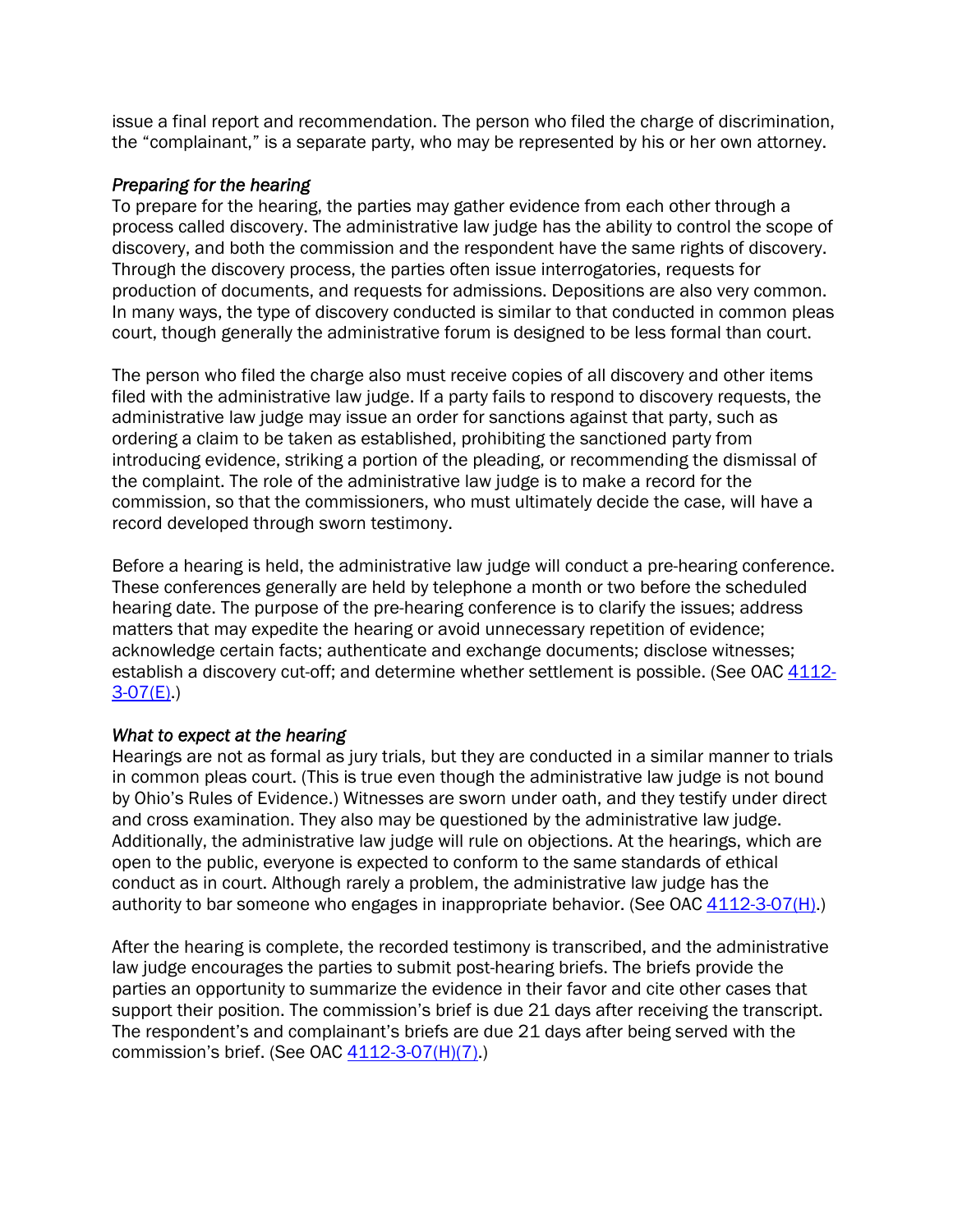issue a final report and recommendation. The person who filed the charge of discrimination, the "complainant," is a separate party, who may be represented by his or her own attorney.

#### *Preparing for the hearing*

To prepare for the hearing, the parties may gather evidence from each other through a process called discovery. The administrative law judge has the ability to control the scope of discovery, and both the commission and the respondent have the same rights of discovery. Through the discovery process, the parties often issue interrogatories, requests for production of documents, and requests for admissions. Depositions are also very common. In many ways, the type of discovery conducted is similar to that conducted in common pleas court, though generally the administrative forum is designed to be less formal than court.

The person who filed the charge also must receive copies of all discovery and other items filed with the administrative law judge. If a party fails to respond to discovery requests, the administrative law judge may issue an order for sanctions against that party, such as ordering a claim to be taken as established, prohibiting the sanctioned party from introducing evidence, striking a portion of the pleading, or recommending the dismissal of the complaint. The role of the administrative law judge is to make a record for the commission, so that the commissioners, who must ultimately decide the case, will have a record developed through sworn testimony.

Before a hearing is held, the administrative law judge will conduct a pre-hearing conference. These conferences generally are held by telephone a month or two before the scheduled hearing date. The purpose of the pre-hearing conference is to clarify the issues; address matters that may expedite the hearing or avoid unnecessary repetition of evidence; acknowledge certain facts; authenticate and exchange documents; disclose witnesses; [establish a discovery cut-off; and determine whether settlement is possible. \(See OAC 4112-](http://codes.ohio.gov/oac/4112-3-07)  $3-07(E)$ .)

#### *What to expect at the hearing*

Hearings are not as formal as jury trials, but they are conducted in a similar manner to trials in common pleas court. (This is true even though the administrative law judge is not bound by Ohio's Rules of Evidence.) Witnesses are sworn under oath, and they testify under direct and cross examination. They also may be questioned by the administrative law judge. Additionally, the administrative law judge will rule on objections. At the hearings, which are open to the public, everyone is expected to conform to the same standards of ethical conduct as in court. Although rarely a problem, the administrative law judge has the authority to bar someone who engages in inappropriate behavior. (See OAC  $4112-3-07(H)$ .)

After the hearing is complete, the recorded testimony is transcribed, and the administrative law judge encourages the parties to submit post-hearing briefs. The briefs provide the parties an opportunity to summarize the evidence in their favor and cite other cases that support their position. The commission's brief is due 21 days after receiving the transcript. The respondent's and complainant's briefs are due 21 days after being served with the commission's brief. (See OAC [4112-3-07\(H\)\(7\)](http://codes.ohio.gov/oac/4112-3-07).)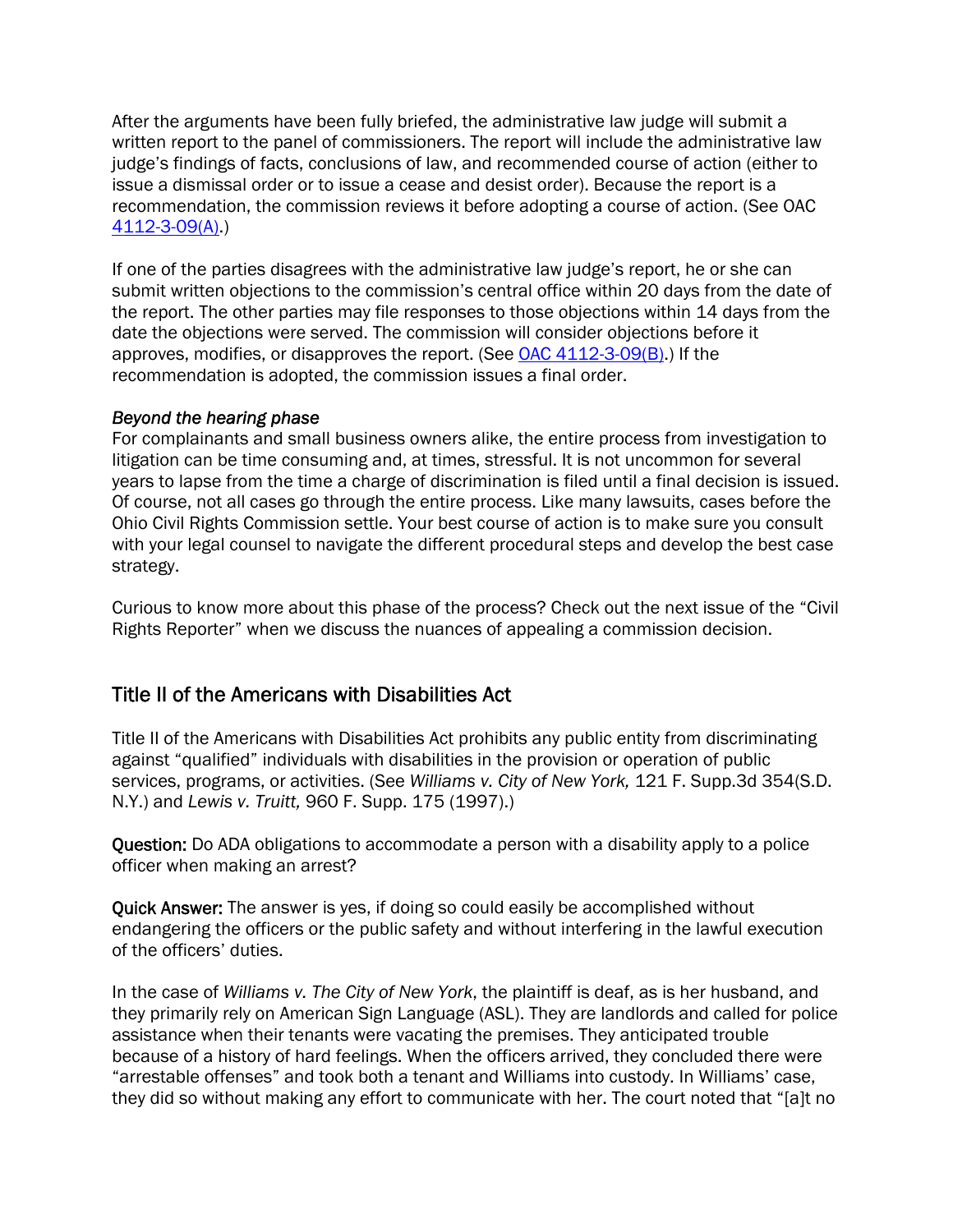After the arguments have been fully briefed, the administrative law judge will submit a written report to the panel of commissioners. The report will include the administrative law judge's findings of facts, conclusions of law, and recommended course of action (either to issue a dismissal order or to issue a cease and desist order). Because the report is a recommendation, the commission reviews it before adopting a course of action. (See OAC [4112-3-09\(A\).](http://codes.ohio.gov/oac/4112-3-09))

If one of the parties disagrees with the administrative law judge's report, he or she can submit written objections to the commission's central office within 20 days from the date of the report. The other parties may file responses to those objections within 14 days from the date the objections were served. The commission will consider objections before it approves, modifies, or disapproves the report. (See [OAC 4112-3-09\(B\).](http://codes.ohio.gov/oac/4112-3-09)) If the recommendation is adopted, the commission issues a final order.

#### *Beyond the hearing phase*

For complainants and small business owners alike, the entire process from investigation to litigation can be time consuming and, at times, stressful. It is not uncommon for several years to lapse from the time a charge of discrimination is filed until a final decision is issued. Of course, not all cases go through the entire process. Like many lawsuits, cases before the Ohio Civil Rights Commission settle. Your best course of action is to make sure you consult with your legal counsel to navigate the different procedural steps and develop the best case strategy.

Curious to know more about this phase of the process? Check out the next issue of the "Civil Rights Reporter" when we discuss the nuances of appealing a commission decision.

## Title II of the Americans with Disabilities Act

Title II of the Americans with Disabilities Act prohibits any public entity from discriminating against "qualified" individuals with disabilities in the provision or operation of public services, programs, or activities. (See *Williams v. City of New York,* 121 F. Supp.3d 354(S.D. N.Y.) and *Lewis v. Truitt,* 960 F. Supp. 175 (1997).)

Question: Do ADA obligations to accommodate a person with a disability apply to a police officer when making an arrest?

Quick Answer: The answer is yes, if doing so could easily be accomplished without endangering the officers or the public safety and without interfering in the lawful execution of the officers' duties.

In the case of *Williams v. The City of New York*, the plaintiff is deaf, as is her husband, and they primarily rely on American Sign Language (ASL). They are landlords and called for police assistance when their tenants were vacating the premises. They anticipated trouble because of a history of hard feelings. When the officers arrived, they concluded there were "arrestable offenses" and took both a tenant and Williams into custody. In Williams' case, they did so without making any effort to communicate with her. The court noted that "[a]t no